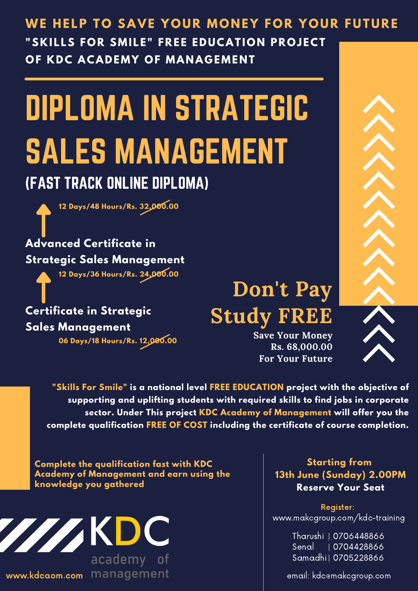#### WE HELP TO SAVE YOUR MONEY FOR YOUR FUTURE "SKILLS FOR SMILE" FREE EDUCATION PROJECT **OF KDC ACADEMY OF MANAGEMENT**

# DIPLOMA IN STRATEGIC SALES MANAGEMENT

#### (FAST TRACK ONLINE DIPLOMA)

**12 Days/48 Hours/Rs. 32,000.00**

#### **Advanced Certificate in Strategic Sales Management**

**12 Days/36 Hours/Rs. 24,000.00**

**Certificate in Strategic Sales Management 06 Days/18 Hours/Rs. 12,000.00**

### **Don't Pay Study FREE**

**Save Your Money Rs. 68,000.00 For Your Future**

**"Skills For Smile" is a national level FREE EDUCATION project with the objective of supporting and uplifting students with required skills to find jobs in corporate sector. Under This project KDC Academy of Management will offer you the complete qualification FREE OF COST including the certificate of course completion.**

**Complete the qualification fast with KDC Academy of Management and earn using the knowledge you gathered**



www.kdcaom.com management

#### **Starting from 13th June (Sunday) 2.00PM Reserve Your Seat**

Register: www.makcgroup.com/kdc-training

> Tharushi | 0706448866 Senal | 0704428866 Samadhi | 0705228866

email: kdc@makcgroup.com